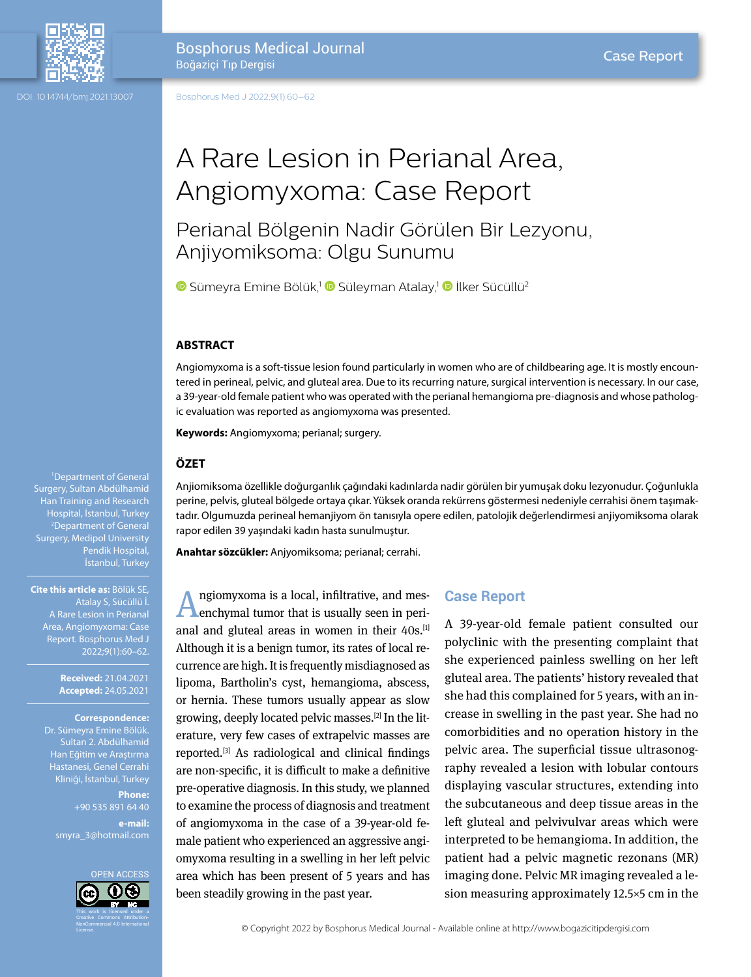

DOI: 10.14744/bmj.2021.13007

Bosphorus Medical Journal Boğaziçi Tıp Dergisi

# A Rare Lesion in Perianal Area, Angiomyxoma: Case Report

Perianal Bölgenin Nadir Görülen Bir Lezyonu, Anjiyomiksoma: Olgu Sunumu

 $\bullet$ Sümeyra Emine Bölük,<sup>1</sup>  $\bullet$  Süleyman Atalay,<sup>1</sup>  $\bullet$  İlker Sücüllü<sup>2</sup>

# **ABSTRACT**

Angiomyxoma is a soft-tissue lesion found particularly in women who are of childbearing age. It is mostly encountered in perineal, pelvic, and gluteal area. Due to its recurring nature, surgical intervention is necessary. In our case, a 39-year-old female patient who was operated with the perianal hemangioma pre-diagnosis and whose pathologic evaluation was reported as angiomyxoma was presented.

**Keywords:** Angiomyxoma; perianal; surgery.

## **ÖZET**

Anjiomiksoma özellikle doğurganlık çağındaki kadınlarda nadir görülen bir yumuşak doku lezyonudur. Çoğunlukla perine, pelvis, gluteal bölgede ortaya çıkar. Yüksek oranda rekürrens göstermesi nedeniyle cerrahisi önem taşımaktadır. Olgumuzda perineal hemanjiyom ön tanısıyla opere edilen, patolojik değerlendirmesi anjiyomiksoma olarak rapor edilen 39 yaşındaki kadın hasta sunulmuştur.

**Anahtar sözcükler:** Anjyomiksoma; perianal; cerrahi.

Angiomyxoma is a local, infiltrative, and mes-enchymal tumor that is usually seen in perianal and gluteal areas in women in their 40s.<sup>[1]</sup> Although it is a benign tumor, its rates of local recurrence are high. It is frequently misdiagnosed as lipoma, Bartholin's cyst, hemangioma, abscess, or hernia. These tumors usually appear as slow growing, deeply located pelvic masses.[2] In the literature, very few cases of extrapelvic masses are reported.[3] As radiological and clinical findings are non-specific, it is difficult to make a definitive pre-operative diagnosis. In this study, we planned to examine the process of diagnosis and treatment of angiomyxoma in the case of a 39-year-old female patient who experienced an aggressive angiomyxoma resulting in a swelling in her left pelvic area which has been present of 5 years and has been steadily growing in the past year.

# **Case Report**

A 39-year-old female patient consulted our polyclinic with the presenting complaint that she experienced painless swelling on her left gluteal area. The patients' history revealed that she had this complained for 5 years, with an increase in swelling in the past year. She had no comorbidities and no operation history in the pelvic area. The superficial tissue ultrasonography revealed a lesion with lobular contours displaying vascular structures, extending into the subcutaneous and deep tissue areas in the left gluteal and pelvivulvar areas which were interpreted to be hemangioma. In addition, the patient had a pelvic magnetic rezonans (MR) imaging done. Pelvic MR imaging revealed a lesion measuring approximately 12.5×5 cm in the

1 Department of General Surgery, Sultan Abdülhamid Han Training and Research Hospital, İstanbul, Turkey 2 Department of General Surgery, Medipol University Pendik Hospital, İstanbul, Turkey

**Cite this article as:** Bölük SE, Atalay S, Sücüllü İ. Area, Angiomyxoma: Case Report. Bosphorus Med J

> **Received:** 21.04.2021 **Accepted:** 24.05.2021

#### **Correspondence:**

Dr. Sümeyra Emine Bölük. Sultan 2. Abdülhamid Han Eğitim ve Araştırma Hastanesi, Genel Cerrahi Kliniği, İstanbul, Turkey

**Phone:** +90 535 891 64 40 **e-mail:**

smyra\_3@hotmail.com

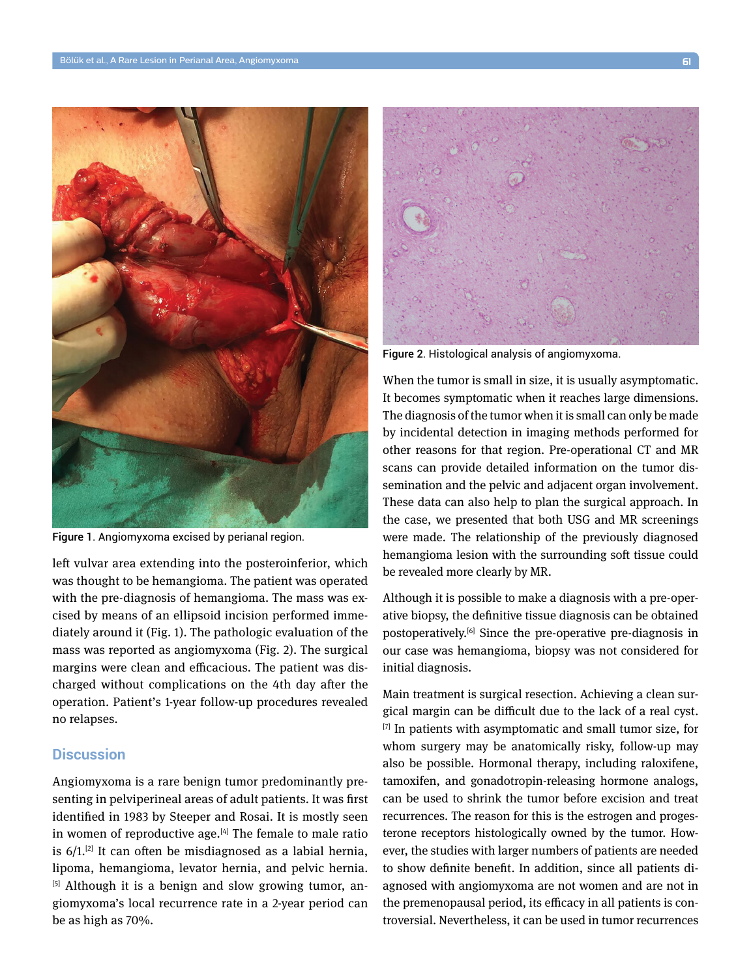

Figure 1. Angiomyxoma excised by perianal region.

left vulvar area extending into the posteroinferior, which was thought to be hemangioma. The patient was operated with the pre-diagnosis of hemangioma. The mass was excised by means of an ellipsoid incision performed immediately around it (Fig. 1). The pathologic evaluation of the mass was reported as angiomyxoma (Fig. 2). The surgical margins were clean and efficacious. The patient was discharged without complications on the 4th day after the operation. Patient's 1-year follow-up procedures revealed no relapses.

# **Discussion**

Angiomyxoma is a rare benign tumor predominantly presenting in pelviperineal areas of adult patients. It was first identified in 1983 by Steeper and Rosai. It is mostly seen in women of reproductive age. $[4]$  The female to male ratio is  $6/1$ .<sup>[2]</sup> It can often be misdiagnosed as a labial hernia, lipoma, hemangioma, levator hernia, and pelvic hernia. [5] Although it is a benign and slow growing tumor, angiomyxoma's local recurrence rate in a 2-year period can be as high as 70%.



Figure 2. Histological analysis of angiomyxoma.

When the tumor is small in size, it is usually asymptomatic. It becomes symptomatic when it reaches large dimensions. The diagnosis of the tumor when it is small can only be made by incidental detection in imaging methods performed for other reasons for that region. Pre-operational CT and MR scans can provide detailed information on the tumor dissemination and the pelvic and adjacent organ involvement. These data can also help to plan the surgical approach. In the case, we presented that both USG and MR screenings were made. The relationship of the previously diagnosed hemangioma lesion with the surrounding soft tissue could be revealed more clearly by MR.

Although it is possible to make a diagnosis with a pre-operative biopsy, the definitive tissue diagnosis can be obtained postoperatively.[6] Since the pre-operative pre-diagnosis in our case was hemangioma, biopsy was not considered for initial diagnosis.

Main treatment is surgical resection. Achieving a clean surgical margin can be difficult due to the lack of a real cyst. [7] In patients with asymptomatic and small tumor size, for whom surgery may be anatomically risky, follow-up may also be possible. Hormonal therapy, including raloxifene, tamoxifen, and gonadotropin-releasing hormone analogs, can be used to shrink the tumor before excision and treat recurrences. The reason for this is the estrogen and progesterone receptors histologically owned by the tumor. However, the studies with larger numbers of patients are needed to show definite benefit. In addition, since all patients diagnosed with angiomyxoma are not women and are not in the premenopausal period, its efficacy in all patients is controversial. Nevertheless, it can be used in tumor recurrences